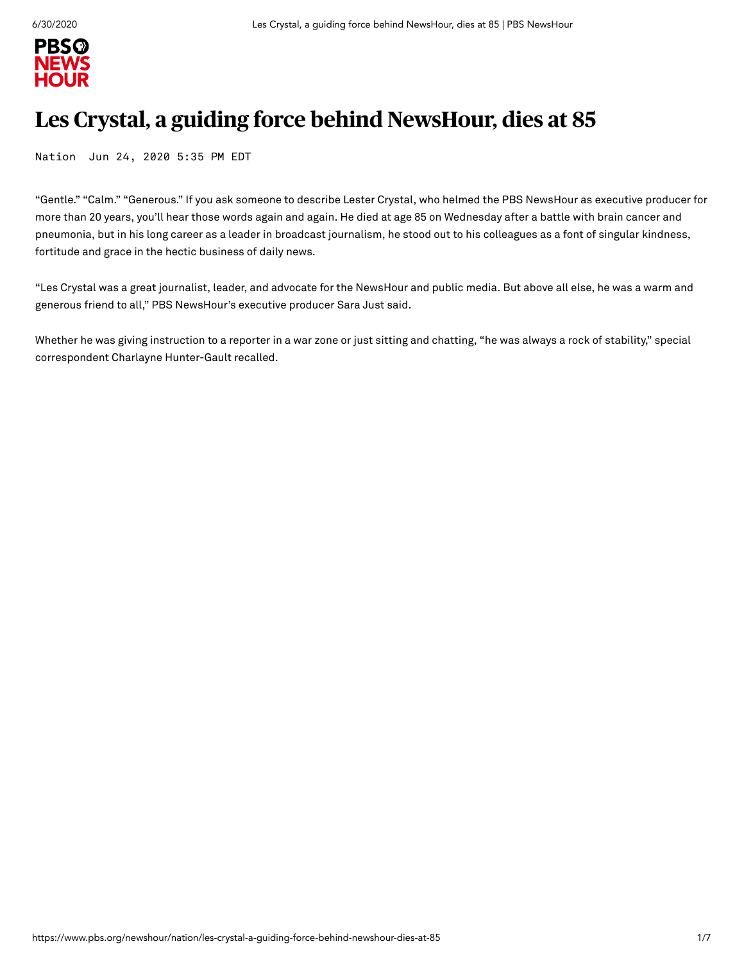

# **Les Crystal, a guiding force behind NewsHour, dies at 85**

[Nation](https://www.pbs.org/newshour/nation) Jun 24, 2020 5:35 PM EDT

"Gentle." "Calm." "Generous." If you ask someone to describe Lester Crystal, who helmed the PBS NewsHour as executive producer for more than 20 years, you'll hear those words again and again. He died at age 85 on Wednesday after a battle with brain cancer and pneumonia, but in his long career as a leader in broadcast journalism, he stood out to his colleagues as a font of singular kindness, fortitude and grace in the hectic business of daily news.

"Les Crystal was a great journalist, leader, and advocate for the NewsHour and public media. But above all else, he was a warm and generous friend to all," PBS NewsHour's executive producer Sara Just said.

Whether he was giving instruction to a reporter in a war zone or just sitting and chatting, "he was always a rock of stability," special correspondent Charlayne Hunter-Gault recalled.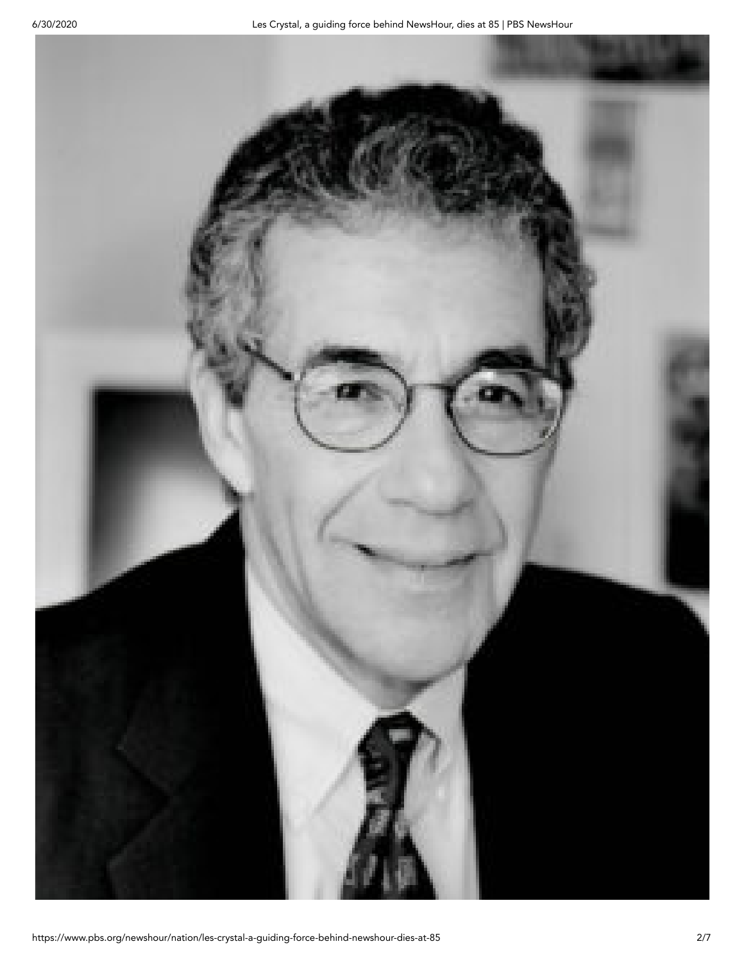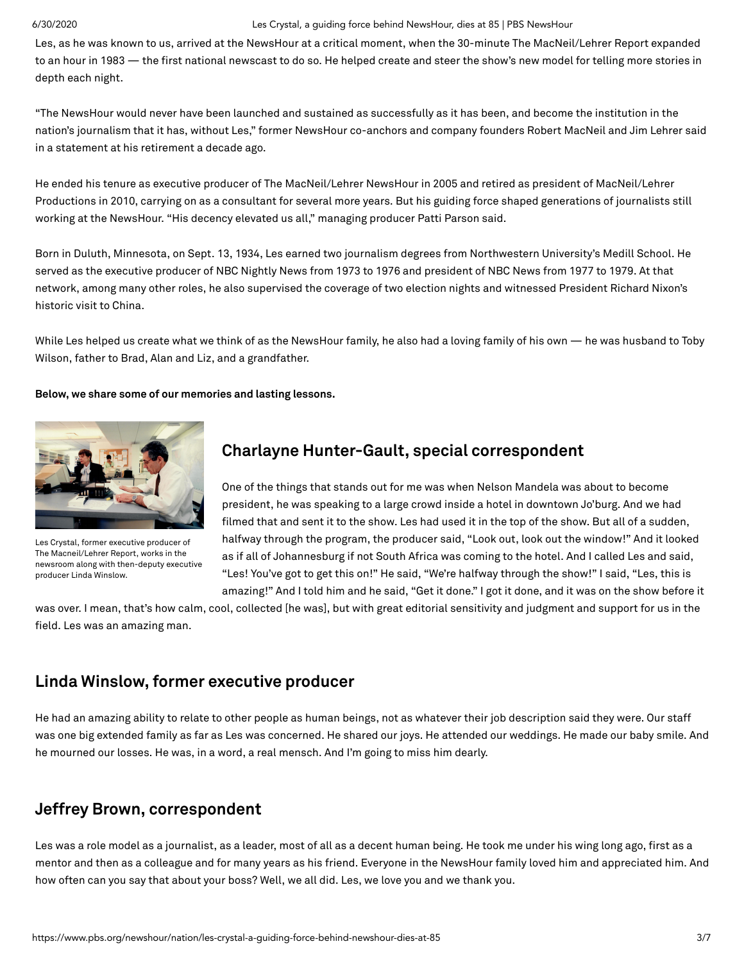#### 6/30/2020 Les Crystal, a guiding force behind NewsHour, dies at 85 | PBS NewsHour

Les, as he was known to us, arrived at the NewsHour at a critical moment, when the 30-minute The MacNeil/Lehrer Report expanded to an hour in 1983 — the first national newscast to do so. He helped create and steer the show's new model for telling more stories in depth each night.

"The NewsHour would never have been launched and sustained as successfully as it has been, and become the institution in the nation's journalism that it has, without Les," former NewsHour co-anchors and company founders Robert MacNeil and Jim Lehrer said in a statement at his retirement a decade ago.

He ended his tenure as executive producer of The MacNeil/Lehrer NewsHour in 2005 and retired as president of MacNeil/Lehrer Productions in 2010, carrying on as a consultant for several more years. But his guiding force shaped generations of journalists still working at the NewsHour. "His decency elevated us all," managing producer Patti Parson said.

Born in Duluth, Minnesota, on Sept. 13, 1934, Les earned two journalism degrees from Northwestern University's Medill School. He served as the executive producer of NBC Nightly News from 1973 to 1976 and president of NBC News from 1977 to 1979. At that network, among many other roles, he also supervised the coverage of two election nights and witnessed President Richard Nixon's historic visit to China.

While Les helped us create what we think of as the NewsHour family, he also had a loving family of his own — he was husband to Toby Wilson, father to Brad, Alan and Liz, and a grandfather.

#### **Below, we share some of our memories and lasting lessons.**



Les Crystal, former executive producer of The Macneil/Lehrer Report, works in the newsroom along with then-deputy executive producer Linda Winslow.

#### **Charlayne Hunter-Gault, special correspondent**

One of the things that stands out for me was when Nelson Mandela was about to become president, he was speaking to a large crowd inside a hotel in downtown Jo'burg. And we had filmed that and sent it to the show. Les had used it in the top of the show. But all of a sudden, halfway through the program, the producer said, "Look out, look out the window!" And it looked as if all of Johannesburg if not South Africa was coming to the hotel. And I called Les and said, "Les! You've got to get this on!" He said, "We're halfway through the show!" I said, "Les, this is amazing!" And I told him and he said, "Get it done." I got it done, and it was on the show before it

was over. I mean, that's how calm, cool, collected [he was], but with great editorial sensitivity and judgment and support for us in the field. Les was an amazing man.

#### **Linda Winslow, former executive producer**

He had an amazing ability to relate to other people as human beings, not as whatever their job description said they were. Our staff was one big extended family as far as Les was concerned. He shared our joys. He attended our weddings. He made our baby smile. And he mourned our losses. He was, in a word, a real mensch. And I'm going to miss him dearly.

#### **Jeffrey Brown, correspondent**

Les was a role model as a journalist, as a leader, most of all as a decent human being. He took me under his wing long ago, first as a mentor and then as a colleague and for many years as his friend. Everyone in the NewsHour family loved him and appreciated him. And how often can you say that about your boss? Well, we all did. Les, we love you and we thank you.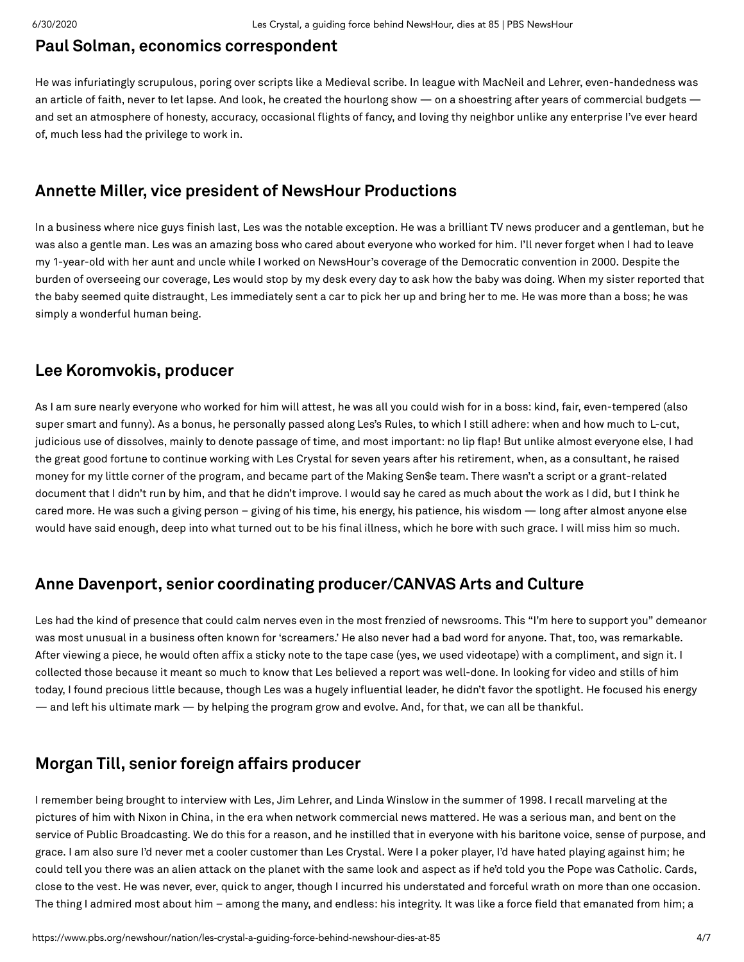#### **Paul Solman, economics correspondent**

He was infuriatingly scrupulous, poring over scripts like a Medieval scribe. In league with MacNeil and Lehrer, even-handedness was an article of faith, never to let lapse. And look, he created the hourlong show — on a shoestring after years of commercial budgets and set an atmosphere of honesty, accuracy, occasional flights of fancy, and loving thy neighbor unlike any enterprise I've ever heard of, much less had the privilege to work in.

#### **Annette Miller, vice president of NewsHour Productions**

In a business where nice guys finish last, Les was the notable exception. He was a brilliant TV news producer and a gentleman, but he was also a gentle man. Les was an amazing boss who cared about everyone who worked for him. I'll never forget when I had to leave my 1-year-old with her aunt and uncle while I worked on NewsHour's coverage of the Democratic convention in 2000. Despite the burden of overseeing our coverage, Les would stop by my desk every day to ask how the baby was doing. When my sister reported that the baby seemed quite distraught, Les immediately sent a car to pick her up and bring her to me. He was more than a boss; he was simply a wonderful human being.

#### **Lee Koromvokis, producer**

As I am sure nearly everyone who worked for him will attest, he was all you could wish for in a boss: kind, fair, even-tempered (also super smart and funny). As a bonus, he personally passed along Les's Rules, to which I still adhere: when and how much to L-cut, judicious use of dissolves, mainly to denote passage of time, and most important: no lip flap! But unlike almost everyone else, I had the great good fortune to continue working with Les Crystal for seven years after his retirement, when, as a consultant, he raised money for my little corner of the program, and became part of the Making Sen\$e team. There wasn't a script or a grant-related document that I didn't run by him, and that he didn't improve. I would say he cared as much about the work as I did, but I think he cared more. He was such a giving person – giving of his time, his energy, his patience, his wisdom — long after almost anyone else would have said enough, deep into what turned out to be his final illness, which he bore with such grace. I will miss him so much.

#### **Anne Davenport, senior coordinating producer/CANVAS Arts and Culture**

Les had the kind of presence that could calm nerves even in the most frenzied of newsrooms. This "I'm here to support you" demeanor was most unusual in a business often known for 'screamers.' He also never had a bad word for anyone. That, too, was remarkable. After viewing a piece, he would often affix a sticky note to the tape case (yes, we used videotape) with a compliment, and sign it. I collected those because it meant so much to know that Les believed a report was well-done. In looking for video and stills of him today, I found precious little because, though Les was a hugely influential leader, he didn't favor the spotlight. He focused his energy — and left his ultimate mark — by helping the program grow and evolve. And, for that, we can all be thankful.

#### **Morgan Till, senior foreign affairs producer**

I remember being brought to interview with Les, Jim Lehrer, and Linda Winslow in the summer of 1998. I recall marveling at the pictures of him with Nixon in China, in the era when network commercial news mattered. He was a serious man, and bent on the service of Public Broadcasting. We do this for a reason, and he instilled that in everyone with his baritone voice, sense of purpose, and grace. I am also sure I'd never met a cooler customer than Les Crystal. Were I a poker player, I'd have hated playing against him; he could tell you there was an alien attack on the planet with the same look and aspect as if he'd told you the Pope was Catholic. Cards, close to the vest. He was never, ever, quick to anger, though I incurred his understated and forceful wrath on more than one occasion. The thing I admired most about him – among the many, and endless: his integrity. It was like a force field that emanated from him; a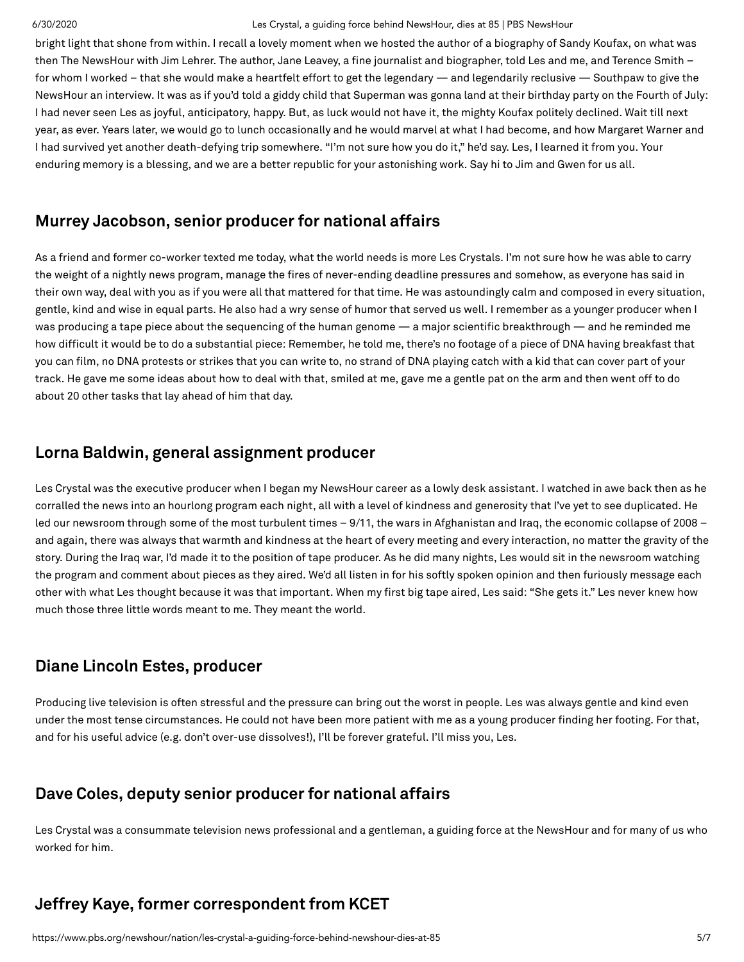#### 6/30/2020 Les Crystal, a guiding force behind NewsHour, dies at 85 | PBS NewsHour

bright light that shone from within. I recall a lovely moment when we hosted the author of a biography of Sandy Koufax, on what was then The NewsHour with Jim Lehrer. The author, Jane Leavey, a fine journalist and biographer, told Les and me, and Terence Smith – for whom I worked – that she would make a heartfelt effort to get the legendary — and legendarily reclusive — Southpaw to give the NewsHour an interview. It was as if you'd told a giddy child that Superman was gonna land at their birthday party on the Fourth of July: I had never seen Les as joyful, anticipatory, happy. But, as luck would not have it, the mighty Koufax politely declined. Wait till next year, as ever. Years later, we would go to lunch occasionally and he would marvel at what I had become, and how Margaret Warner and I had survived yet another death-defying trip somewhere. "I'm not sure how you do it," he'd say. Les, I learned it from you. Your enduring memory is a blessing, and we are a better republic for your astonishing work. Say hi to Jim and Gwen for us all.

#### **Murrey Jacobson, senior producer for national affairs**

As a friend and former co-worker texted me today, what the world needs is more Les Crystals. I'm not sure how he was able to carry the weight of a nightly news program, manage the fires of never-ending deadline pressures and somehow, as everyone has said in their own way, deal with you as if you were all that mattered for that time. He was astoundingly calm and composed in every situation, gentle, kind and wise in equal parts. He also had a wry sense of humor that served us well. I remember as a younger producer when I was producing a tape piece about the sequencing of the human genome — a major scientific breakthrough — and he reminded me how difficult it would be to do a substantial piece: Remember, he told me, there's no footage of a piece of DNA having breakfast that you can film, no DNA protests or strikes that you can write to, no strand of DNA playing catch with a kid that can cover part of your track. He gave me some ideas about how to deal with that, smiled at me, gave me a gentle pat on the arm and then went off to do about 20 other tasks that lay ahead of him that day.

#### **Lorna Baldwin, general assignment producer**

Les Crystal was the executive producer when I began my NewsHour career as a lowly desk assistant. I watched in awe back then as he corralled the news into an hourlong program each night, all with a level of kindness and generosity that I've yet to see duplicated. He led our newsroom through some of the most turbulent times – 9/11, the wars in Afghanistan and Iraq, the economic collapse of 2008 – and again, there was always that warmth and kindness at the heart of every meeting and every interaction, no matter the gravity of the story. During the Iraq war, I'd made it to the position of tape producer. As he did many nights, Les would sit in the newsroom watching the program and comment about pieces as they aired. We'd all listen in for his softly spoken opinion and then furiously message each other with what Les thought because it was that important. When my first big tape aired, Les said: "She gets it." Les never knew how much those three little words meant to me. They meant the world.

## **Diane Lincoln Estes, producer**

Producing live television is often stressful and the pressure can bring out the worst in people. Les was always gentle and kind even under the most tense circumstances. He could not have been more patient with me as a young producer finding her footing. For that, and for his useful advice (e.g. don't over-use dissolves!), I'll be forever grateful. I'll miss you, Les.

## **Dave Coles, deputy senior producer for national affairs**

Les Crystal was a consummate television news professional and a gentleman, a guiding force at the NewsHour and for many of us who worked for him.

## **Jeffrey Kaye, former correspondent from KCET**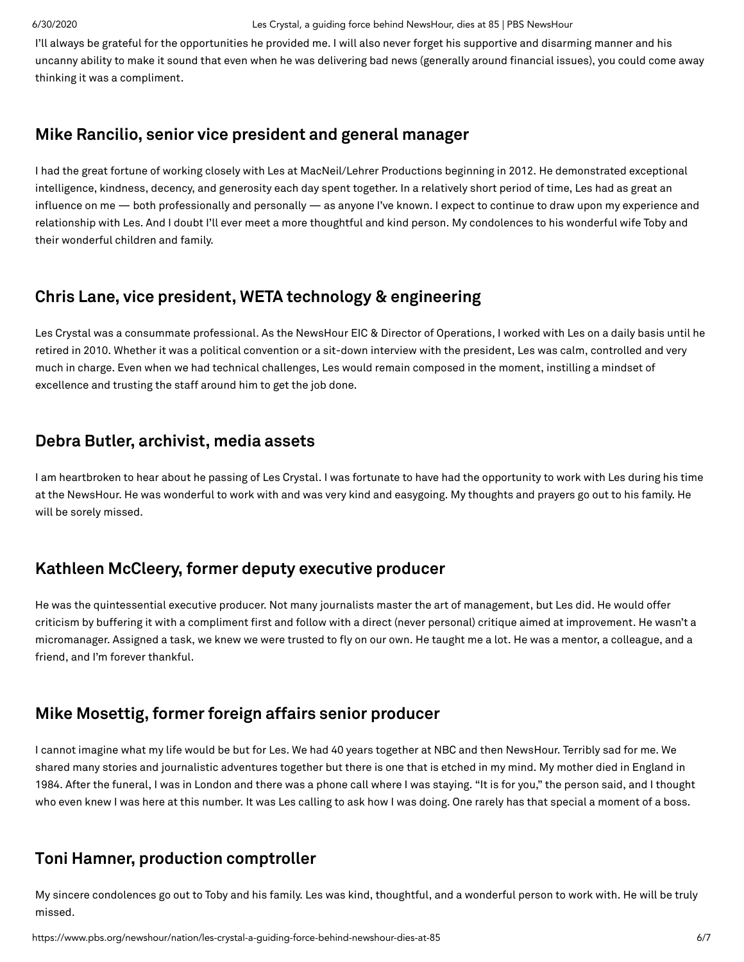6/30/2020 Les Crystal, a guiding force behind NewsHour, dies at 85 | PBS NewsHour

I'll always be grateful for the opportunities he provided me. I will also never forget his supportive and disarming manner and his uncanny ability to make it sound that even when he was delivering bad news (generally around financial issues), you could come away thinking it was a compliment.

#### **Mike Rancilio, senior vice president and general manager**

I had the great fortune of working closely with Les at MacNeil/Lehrer Productions beginning in 2012. He demonstrated exceptional intelligence, kindness, decency, and generosity each day spent together. In a relatively short period of time, Les had as great an influence on me — both professionally and personally — as anyone I've known. I expect to continue to draw upon my experience and relationship with Les. And I doubt I'll ever meet a more thoughtful and kind person. My condolences to his wonderful wife Toby and their wonderful children and family.

## **Chris Lane, vice president, WETA technology & engineering**

Les Crystal was a consummate professional. As the NewsHour EIC & Director of Operations, I worked with Les on a daily basis until he retired in 2010. Whether it was a political convention or a sit-down interview with the president, Les was calm, controlled and very much in charge. Even when we had technical challenges, Les would remain composed in the moment, instilling a mindset of excellence and trusting the staff around him to get the job done.

#### **Debra Butler, archivist, media assets**

I am heartbroken to hear about he passing of Les Crystal. I was fortunate to have had the opportunity to work with Les during his time at the NewsHour. He was wonderful to work with and was very kind and easygoing. My thoughts and prayers go out to his family. He will be sorely missed.

## **Kathleen McCleery, former deputy executive producer**

He was the quintessential executive producer. Not many journalists master the art of management, but Les did. He would offer criticism by buffering it with a compliment first and follow with a direct (never personal) critique aimed at improvement. He wasn't a micromanager. Assigned a task, we knew we were trusted to fly on our own. He taught me a lot. He was a mentor, a colleague, and a friend, and I'm forever thankful.

## **Mike Mosettig, former foreign affairs senior producer**

I cannot imagine what my life would be but for Les. We had 40 years together at NBC and then NewsHour. Terribly sad for me. We shared many stories and journalistic adventures together but there is one that is etched in my mind. My mother died in England in 1984. After the funeral, I was in London and there was a phone call where I was staying. "It is for you," the person said, and I thought who even knew I was here at this number. It was Les calling to ask how I was doing. One rarely has that special a moment of a boss.

## **Toni Hamner, production comptroller**

My sincere condolences go out to Toby and his family. Les was kind, thoughtful, and a wonderful person to work with. He will be truly missed.